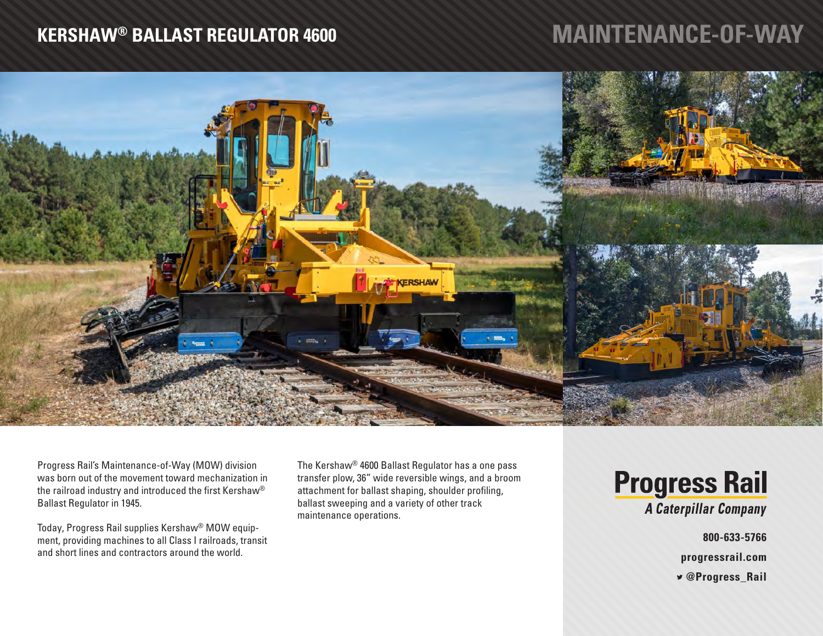## **KERSHAW® BALLAST REGULATOR 4600**

## **MAINTENANCE-OF-WAY**



Progress Rail's Maintenance-of-Way (MOW) division was born out of the movement toward mechanization in the railroad industry and introduced the first Kershaw® Ballast Regulator in 1945.

Today, Progress Rail supplies Kershaw® MOW equipment, providing machines to all Class I railroads, transit and short lines and contractors around the world.

The Kershaw® 4600 Ballast Regulator has a one pass transfer plow, 36" wide reversible wings, and a broom attachment for ballast shaping, shoulder profiling, ballast sweeping and a variety of other track maintenance operations.

**Progress Rail** A Caterpillar Company

**800-633-5766**

**progressrail.com**

 **@Progress\_Rail**